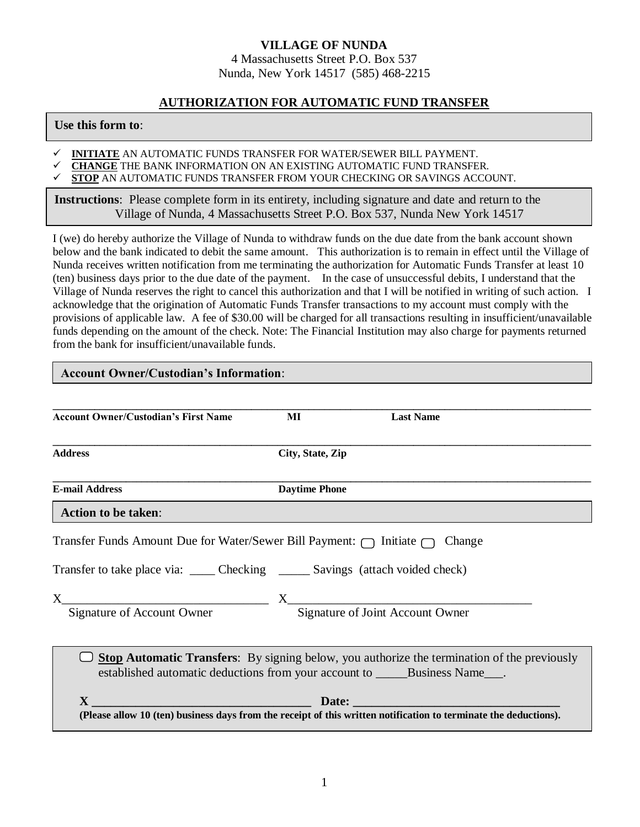## **VILLAGE OF NUNDA** 4 Massachusetts Street P.O. Box 537 Nunda, New York 14517 (585) 468-2215

## **AUTHORIZATION FOR AUTOMATIC FUND TRANSFER**

## **Use this form to**:

- **INITIATE** AN AUTOMATIC FUNDS TRANSFER FOR WATER/SEWER BILL PAYMENT.
- **⊂ CHANGE** THE BANK INFORMATION ON AN EXISTING AUTOMATIC FUND TRANSFER.<br>✓ STOP AN AUTOMATIC FUNDS TRANSFER FROM YOUR CHECKING OR SAVINGS ACCC
- **STOP** AN AUTOMATIC FUNDS TRANSFER FROM YOUR CHECKING OR SAVINGS ACCOUNT.

**Instructions**: Please complete form in its entirety, including signature and date and return to the Village of Nunda, 4 Massachusetts Street P.O. Box 537, Nunda New York 14517

I (we) do hereby authorize the Village of Nunda to withdraw funds on the due date from the bank account shown below and the bank indicated to debit the same amount. This authorization is to remain in effect until the Village of Nunda receives written notification from me terminating the authorization for Automatic Funds Transfer at least 10 (ten) business days prior to the due date of the payment. In the case of unsuccessful debits, I understand that the Village of Nunda reserves the right to cancel this authorization and that I will be notified in writing of such action. I acknowledge that the origination of Automatic Funds Transfer transactions to my account must comply with the provisions of applicable law. A fee of \$30.00 will be charged for all transactions resulting in insufficient/unavailable funds depending on the amount of the check. Note: The Financial Institution may also charge for payments returned from the bank for insufficient/unavailable funds. Anytown, New York 14700

| <b>Account Owner/Custodian's Information:</b>                                                                                                                             |                      |                                                                                                                                                                                      |
|---------------------------------------------------------------------------------------------------------------------------------------------------------------------------|----------------------|--------------------------------------------------------------------------------------------------------------------------------------------------------------------------------------|
|                                                                                                                                                                           |                      |                                                                                                                                                                                      |
| <b>Account Owner/Custodian's First Name</b>                                                                                                                               | MI                   | <b>Last Name</b>                                                                                                                                                                     |
| <b>Address</b>                                                                                                                                                            | City, State, Zip     |                                                                                                                                                                                      |
| <b>E-mail Address</b>                                                                                                                                                     | <b>Daytime Phone</b> |                                                                                                                                                                                      |
| <b>Action to be taken:</b>                                                                                                                                                |                      |                                                                                                                                                                                      |
| Transfer Funds Amount Due for Water/Sewer Bill Payment: $\bigcap$ Initiate $\bigcap$<br>Transfer to take place via: ______ Checking _______ Savings (attach voided check) |                      | Change                                                                                                                                                                               |
|                                                                                                                                                                           |                      |                                                                                                                                                                                      |
| X<br>Signature of Account Owner<br>Signature of Joint Account Owner                                                                                                       |                      |                                                                                                                                                                                      |
|                                                                                                                                                                           |                      | <b>Stop Automatic Transfers:</b> By signing below, you authorize the termination of the previously<br>established automatic deductions from your account to ______Business Name____. |
|                                                                                                                                                                           |                      | $X$ Date: Date: Date: Date: Determinate the deductions).<br>(Please allow 10 (ten) business days from the receipt of this written notification to terminate the deductions).         |